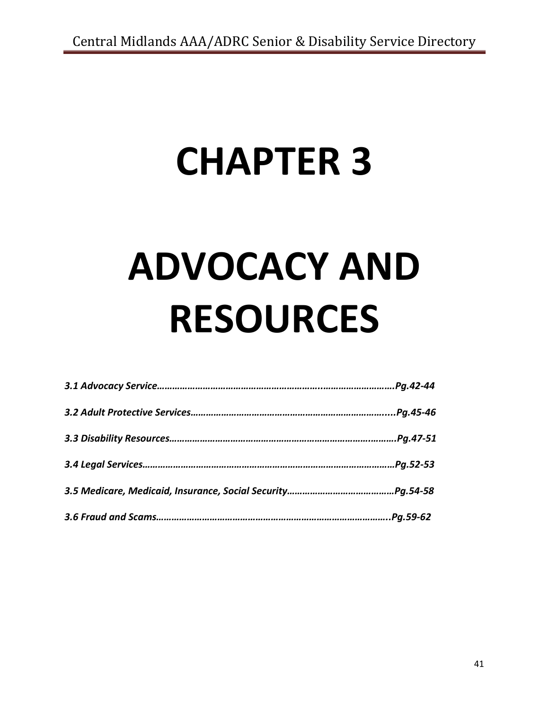## **CHAPTER 3**

# **ADVOCACY AND RESOURCES**

| Pg.42-44  |
|-----------|
| Pg.45-46. |
| Pg.47-51. |
| Pg.52-53  |
|           |
|           |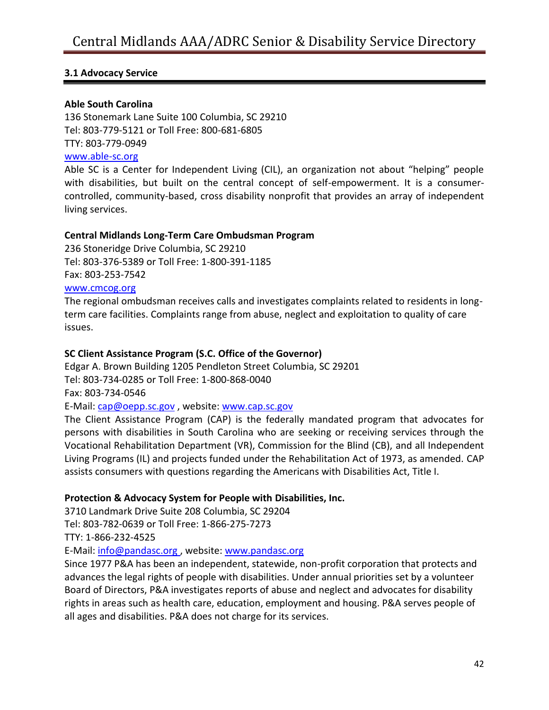## **3.1 Advocacy Service**

## **Able South Carolina**

136 Stonemark Lane Suite 100 Columbia, SC 29210 Tel: 803-779-5121 or Toll Free: 800-681-6805 TTY: 803-779-0949

## [www.able-sc.org](http://www.able-sc.org/)

Able SC is a Center for Independent Living (CIL), an organization not about "helping" people with disabilities, but built on the central concept of self-empowerment. It is a consumercontrolled, community-based, cross disability nonprofit that provides an array of independent living services.

#### **Central Midlands Long-Term Care Ombudsman Program**

236 Stoneridge Drive Columbia, SC 29210 Tel: 803-376-5389 or Toll Free: 1-800-391-1185 Fax: 803-253-7542

#### [www.cmcog.org](http://www.cmcog.org/)

The regional ombudsman receives calls and investigates complaints related to residents in longterm care facilities. Complaints range from abuse, neglect and exploitation to quality of care issues.

## **SC Client Assistance Program (S.C. Office of the Governor)**

Edgar A. Brown Building 1205 Pendleton Street Columbia, SC 29201

Tel: 803-734-0285 or Toll Free: 1-800-868-0040

Fax: 803-734-0546

E-Mail: [cap@oepp.sc.gov](mailto:cap@oepp.sc.gov) , website: [www.cap.sc.gov](http://www.cap.sc.gov/)

The Client Assistance Program (CAP) is the federally mandated program that advocates for persons with disabilities in South Carolina who are seeking or receiving services through the Vocational Rehabilitation Department (VR), Commission for the Blind (CB), and all Independent Living Programs (IL) and projects funded under the Rehabilitation Act of 1973, as amended. CAP assists consumers with questions regarding the Americans with Disabilities Act, Title I.

## **Protection & Advocacy System for People with Disabilities, Inc.**

3710 Landmark Drive Suite 208 Columbia, SC 29204 Tel: 803-782-0639 or Toll Free: 1-866-275-7273 TTY: 1-866-232-4525

E-Mail: [info@pandasc.org](mailto:info@pandasc.org) , website[: www.pandasc.org](http://www.pandasc.org/)

Since 1977 P&A has been an independent, statewide, non-profit corporation that protects and advances the legal rights of people with disabilities. Under annual priorities set by a volunteer Board of Directors, P&A investigates reports of abuse and neglect and advocates for disability rights in areas such as health care, education, employment and housing. P&A serves people of all ages and disabilities. P&A does not charge for its services.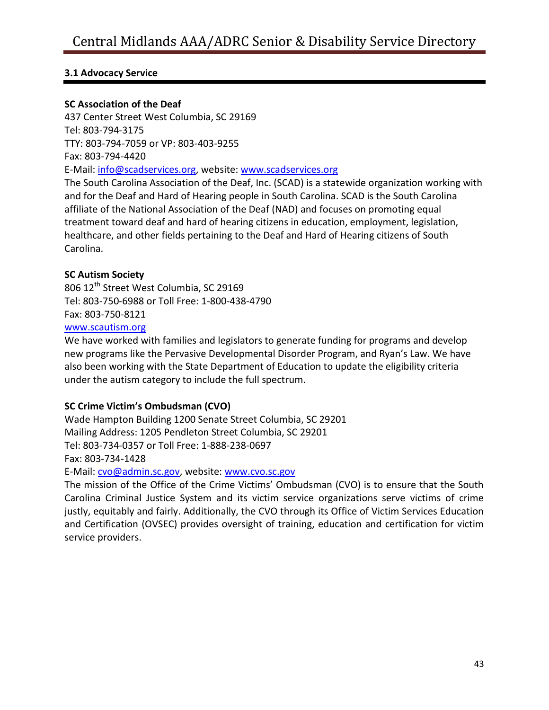## **3.1 Advocacy Service**

## **SC Association of the Deaf**

437 Center Street West Columbia, SC 29169 Tel: 803-794-3175 TTY: 803-794-7059 or VP: 803-403-9255 Fax: 803-794-4420 E-Mail: [info@scadservices.org,](mailto:info@scadservices.org) website: [www.scadservices.org](http://www.scadservices.org/)

The South Carolina Association of the Deaf, Inc. (SCAD) is a statewide organization working with and for the Deaf and Hard of Hearing people in South Carolina. SCAD is the South Carolina affiliate of the National Association of the Deaf (NAD) and focuses on promoting equal treatment toward deaf and hard of hearing citizens in education, employment, legislation, healthcare, and other fields pertaining to the Deaf and Hard of Hearing citizens of South Carolina.

#### **SC Autism Society**

806 12<sup>th</sup> Street West Columbia, SC 29169 Tel: 803-750-6988 or Toll Free: 1-800-438-4790 Fax: 803-750-8121

#### [www.scautism.org](http://www.scautism.org/)

We have worked with families and legislators to generate funding for programs and develop new programs like the Pervasive Developmental Disorder Program, and Ryan's Law. We have also been working with the State Department of Education to update the eligibility criteria under the autism category to include the full spectrum.

## **SC Crime Victim's Ombudsman (CVO)**

Wade Hampton Building 1200 Senate Street Columbia, SC 29201 Mailing Address: 1205 Pendleton Street Columbia, SC 29201 Tel: 803-734-0357 or Toll Free: 1-888-238-0697 Fax: 803-734-1428

E-Mail: [cvo@admin.sc.gov,](mailto:cvo@admin.sc.gov) website: [www.cvo.sc.gov](http://www.cvo.sc.gov/)

The mission of the Office of the Crime Victims' Ombudsman (CVO) is to ensure that the South Carolina Criminal Justice System and its victim service organizations serve victims of crime justly, equitably and fairly. Additionally, the CVO through its Office of Victim Services Education and Certification (OVSEC) provides oversight of training, education and certification for victim service providers.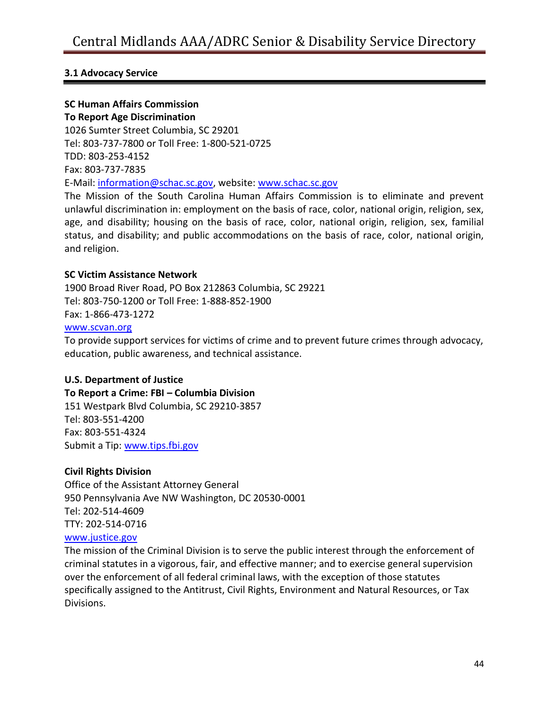## **3.1 Advocacy Service**

## **SC Human Affairs Commission**

**To Report Age Discrimination** 1026 Sumter Street Columbia, SC 29201 Tel: 803-737-7800 or Toll Free: 1-800-521-0725 TDD: 803-253-4152 Fax: 803-737-7835 E-Mail: [information@schac.sc.gov,](mailto:information@schac.sc.gov) website[: www.schac.sc.gov](http://www.schac.sc.gov/)

The Mission of the South Carolina Human Affairs Commission is to eliminate and prevent unlawful discrimination in: employment on the basis of race, color, national origin, religion, sex, age, and disability; housing on the basis of race, color, national origin, religion, sex, familial status, and disability; and public accommodations on the basis of race, color, national origin, and religion.

#### **SC Victim Assistance Network**

1900 Broad River Road, PO Box 212863 Columbia, SC 29221 Tel: 803-750-1200 or Toll Free: 1-888-852-1900 Fax: 1-866-473-1272

#### [www.scvan.org](http://www.scvan.org/)

To provide support services for victims of crime and to prevent future crimes through advocacy, education, public awareness, and technical assistance.

## **U.S. Department of Justice**

#### **To Report a Crime: FBI – Columbia Division**

151 Westpark Blvd Columbia, SC 29210-3857 Tel: 803-551-4200 Fax: 803-551-4324 Submit a Tip: [www.tips.fbi.gov](http://www.tips.fbi.gov/)

#### **Civil Rights Division**

Office of the Assistant Attorney General 950 Pennsylvania Ave NW Washington, DC 20530-0001 Tel: 202-514-4609 TTY: 202-514-0716 [www.justice.gov](http://www.justice.gov/)

The mission of the Criminal Division is to serve the public interest through the enforcement of criminal statutes in a vigorous, fair, and effective manner; and to exercise general supervision over the enforcement of all federal criminal laws, with the exception of those statutes specifically assigned to the Antitrust, Civil Rights, Environment and Natural Resources, or Tax Divisions.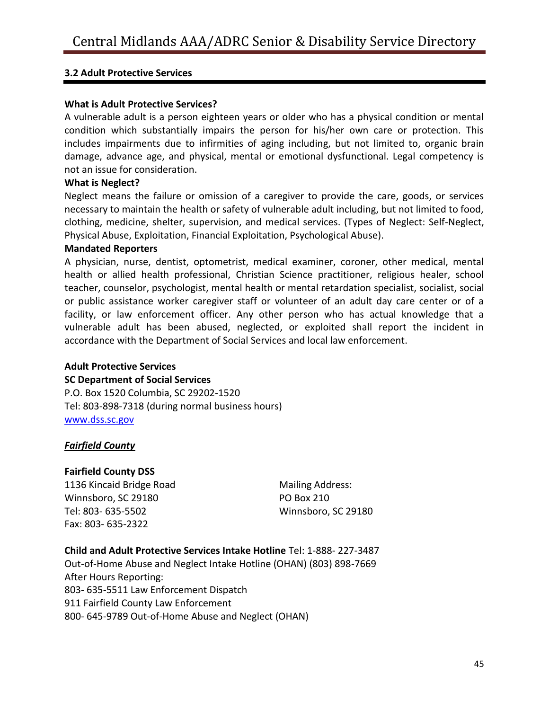## **3.2 Adult Protective Services**

#### **What is Adult Protective Services?**

A vulnerable adult is a person eighteen years or older who has a physical condition or mental condition which substantially impairs the person for his/her own care or protection. This includes impairments due to infirmities of aging including, but not limited to, organic brain damage, advance age, and physical, mental or emotional dysfunctional. Legal competency is not an issue for consideration.

#### **What is Neglect?**

Neglect means the failure or omission of a caregiver to provide the care, goods, or services necessary to maintain the health or safety of vulnerable adult including, but not limited to food, clothing, medicine, shelter, supervision, and medical services. (Types of Neglect: Self-Neglect, Physical Abuse, Exploitation, Financial Exploitation, Psychological Abuse).

#### **Mandated Reporters**

A physician, nurse, dentist, optometrist, medical examiner, coroner, other medical, mental health or allied health professional, Christian Science practitioner, religious healer, school teacher, counselor, psychologist, mental health or mental retardation specialist, socialist, social or public assistance worker caregiver staff or volunteer of an adult day care center or of a facility, or law enforcement officer. Any other person who has actual knowledge that a vulnerable adult has been abused, neglected, or exploited shall report the incident in accordance with the Department of Social Services and local law enforcement.

#### **Adult Protective Services**

#### **SC Department of Social Services**

P.O. Box 1520 Columbia, SC 29202-1520 Tel: 803-898-7318 (during normal business hours) [www.dss.sc.gov](http://www.dss.sc.gov/)

## *Fairfield County*

#### **Fairfield County DSS**

1136 Kincaid Bridge Road Winnsboro, SC 29180 Tel: 803- 635-5502 Fax: 803- 635-2322

Mailing Address: PO Box 210 Winnsboro, SC 29180

**Child and Adult Protective Services Intake Hotline** Tel: 1-888- 227-3487 Out-of-Home Abuse and Neglect Intake Hotline (OHAN) (803) 898-7669 After Hours Reporting: 803- 635-5511 Law Enforcement Dispatch 911 Fairfield County Law Enforcement 800- 645-9789 Out-of-Home Abuse and Neglect (OHAN)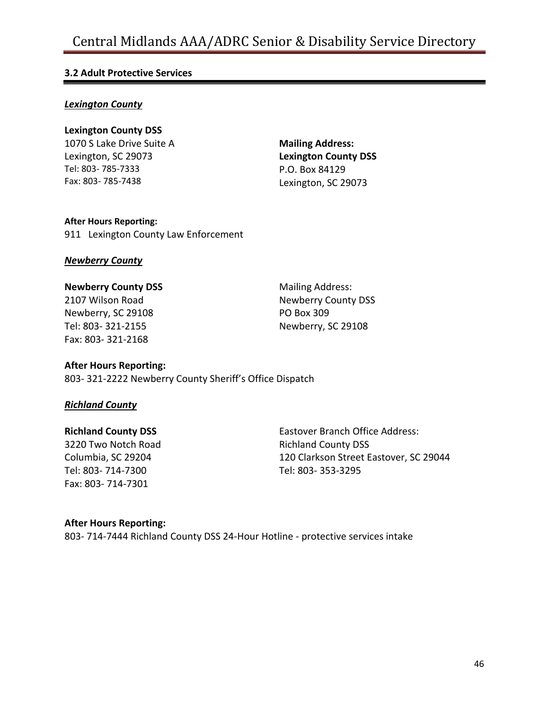## **3.2 Adult Protective Services**

#### *Lexington County*

## **Lexington County DSS**

1070 S Lake Drive Suite A Lexington, SC 29073 Tel: 803- 785-7333 Fax: 803- 785-7438

**Mailing Address: Lexington County DSS** P.O. Box 84129 Lexington, SC 29073

## **After Hours Reporting:**

911 Lexington County Law Enforcement

#### *Newberry County*

## **Newberry County DSS**

2107 Wilson Road Newberry, SC 29108 Tel: 803- 321-2155 Fax: 803- 321-2168

Mailing Address: Newberry County DSS PO Box 309 Newberry, SC 29108

## **After Hours Reporting:**

803- 321-2222 Newberry County Sheriff's Office Dispatch

## *Richland County*

## **Richland County DSS**

3220 Two Notch Road Columbia, SC 29204 Tel: 803- 714-7300 Fax: 803- 714-7301

Eastover Branch Office Address: Richland County DSS 120 Clarkson Street Eastover, SC 29044 Tel: 803- 353-3295

## **After Hours Reporting:**

803- 714-7444 Richland County DSS 24-Hour Hotline - protective services intake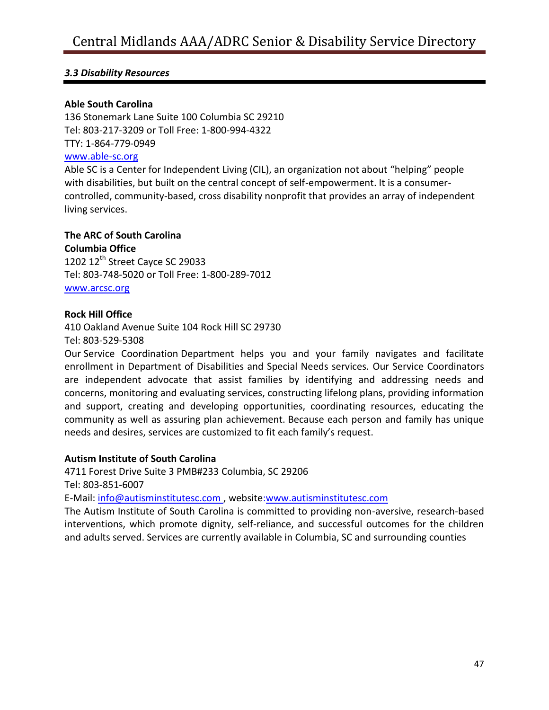## **Able South Carolina**

136 Stonemark Lane Suite 100 Columbia SC 29210 Tel: 803-217-3209 or Toll Free: 1-800-994-4322 TTY: 1-864-779-0949

## [www.able-sc.org](http://www.able-sc.org/)

Able SC is a Center for Independent Living (CIL), an organization not about "helping" people with disabilities, but built on the central concept of self-empowerment. It is a consumercontrolled, community-based, cross disability nonprofit that provides an array of independent living services.

#### **The ARC of South Carolina**

**Columbia Office** 1202  $12<sup>th</sup>$  Street Cayce SC 29033 Tel: 803-748-5020 or Toll Free: 1-800-289-7012 [www.arcsc.org](http://www.arcsc.org/)

#### **Rock Hill Office**

410 Oakland Avenue Suite 104 Rock Hill SC 29730 Tel: 803-529-5308

Our Service Coordination Department helps you and your family navigates and facilitate enrollment in Department of Disabilities and Special Needs services. Our Service Coordinators are independent advocate that assist families by identifying and addressing needs and concerns, monitoring and evaluating services, constructing lifelong plans, providing information and support, creating and developing opportunities, coordinating resources, educating the community as well as assuring plan achievement. Because each person and family has unique needs and desires, services are customized to fit each family's request.

#### **Autism Institute of South Carolina**

4711 Forest Drive Suite 3 PMB#233 Columbia, SC 29206 Tel: 803-851-6007

E-Mail: [info@autisminstitutesc.com](mailto:info@autisminstitutesc.com) , website[:www.autisminstitutesc.com](http://www.autisminstitutesc.com/)

The Autism Institute of South Carolina is committed to providing non-aversive, research-based interventions, which promote dignity, self-reliance, and successful outcomes for the children and adults served. Services are currently available in Columbia, SC and surrounding counties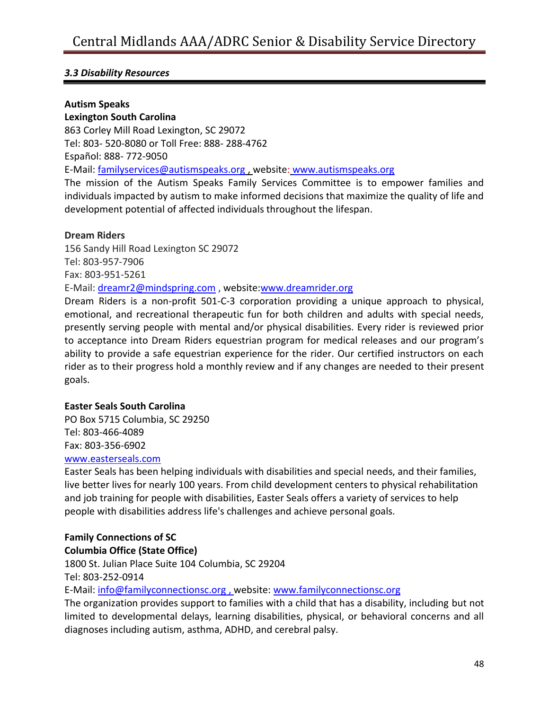## **Autism Speaks**

## **Lexington South Carolina**

863 Corley Mill Road Lexington, SC 29072 Tel: 803- 520-8080 or Toll Free: 888- 288-4762 Español: 888- 772-9050 E-Mail: [familyservices@autismspeaks.org](mailto:familyservices@autismspeaks.org) , website: [www.autismspeaks.org](http://www.autismspeaks.org/) The mission of the Autism Speaks Family Services Committee is to empower families and individuals impacted by autism to make informed decisions that maximize the quality of life and

development potential of affected individuals throughout the lifespan.

## **Dream Riders**

156 Sandy Hill Road Lexington SC 29072 Tel: 803-957-7906 Fax: 803-951-5261 E-Mail: [dreamr2@mindspring.com](mailto:dreamr2@mindspring.com) , website[:www.dreamrider.org](http://www.dreamrider.org/)

Dream Riders is a non-profit 501-C-3 corporation providing a unique approach to physical, emotional, and recreational therapeutic fun for both children and adults with special needs, presently serving people with mental and/or physical disabilities. Every rider is reviewed prior to acceptance into Dream Riders equestrian program for medical releases and our program's ability to provide a safe equestrian experience for the rider. Our certified instructors on each rider as to their progress hold a monthly review and if any changes are needed to their present goals.

## **Easter Seals South Carolina**

PO Box 5715 Columbia, SC 29250 Tel: 803-466-4089 Fax: 803-356-6902

#### [www.easterseals.com](http://www.easterseals.com/)

Easter Seals has been helping individuals with disabilities and special needs, and their families, live better lives for nearly 100 years. From child development centers to physical rehabilitation and job training for people with disabilities, Easter Seals offers a variety of services to help people with disabilities address life's challenges and achieve personal goals.

## **Family Connections of SC**

## **Columbia Office (State Office)**

1800 St. Julian Place Suite 104 Columbia, SC 29204

[Tel: 803-252-0914](tel:803-252-0914)

## E-Mail: [info@familyconnectionsc.org](mailto:info@familyconnectionsc.org) , website[: www.familyconnectionsc.org](http://www.familyconnectionsc.org/)

The organization provides support to families with a child that has a disability, including but not limited to developmental delays, learning disabilities, physical, or behavioral concerns and all diagnoses including autism, asthma, ADHD, and cerebral palsy.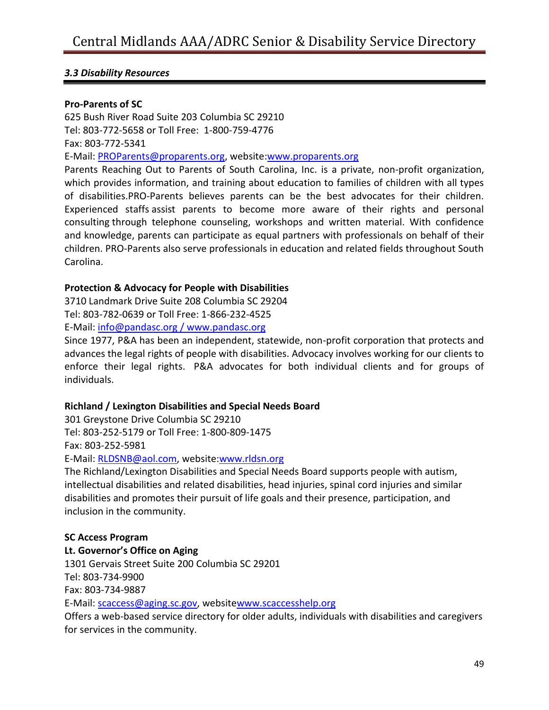#### **Pro-Parents of SC**

625 Bush River Road Suite 203 Columbia SC 29210 Tel: 803-772-5658 or Toll Free: 1-800-759-4776 Fax: 803-772-5341 E-Mail: [PROParents@proparents.org,](mailto:PROParents@proparents.org) website[:www.proparents.org](http://www.proparents.org/) Parents Reaching Out to Parents of South Carolina, Inc. is a private, non-profit organization, which provides information, and training about education to families of children with all types of disabilities.PRO-Parents believes parents can be the best advocates for their children. Experienced staffs assist parents to become more aware of their rights and personal consulting through telephone counseling, workshops and written material. With confidence and knowledge, parents can participate as equal partners with professionals on behalf of their children. PRO-Parents also serve professionals in education and related fields throughout South Carolina.

#### **Protection & Advocacy for People with Disabilities**

3710 Landmark Drive Suite 208 Columbia SC 29204 Tel: 803-782-0639 or Toll Free: 1-866-232-4525

E-Mail: [info@pandasc.org](mailto:info@pandasc.org) / [www.pandasc.org](http://www.pandasc.org/)

Since 1977, P&A has been an independent, statewide, non-profit corporation that protects and advances the legal rights of people with disabilities. Advocacy involves working for our clients to enforce their legal rights. P&A advocates for both individual clients and for groups of individuals.

#### **Richland / Lexington Disabilities and Special Needs Board**

301 Greystone Drive Columbia SC 29210 Tel: 803-252-5179 or Toll Free: 1-800-809-1475 Fax: 803-252-5981

E-Mail: [RLDSNB@aol.com,](mailto:RLDSNB@aol.com) website[:www.rldsn.org](http://www.rldsn.org/)

The Richland/Lexington Disabilities and Special Needs Board supports people with autism, intellectual disabilities and related disabilities, head injuries, spinal cord injuries and similar disabilities and promotes their pursuit of life goals and their presence, participation, and inclusion in the community.

#### **SC Access Program**

**Lt. Governor's Office on Aging** 1301 Gervais Street Suite 200 Columbia SC 29201 Tel: 803-734-9900 Fax: 803-734-9887 E-Mail: [scaccess@aging.sc.gov,](mailto:scaccess@aging.sc.gov) websit[ewww.scaccesshelp.org](http://www.scaccesshelp.org/) Offers a web-based service directory for older adults, individuals with disabilities and caregivers for services in the community.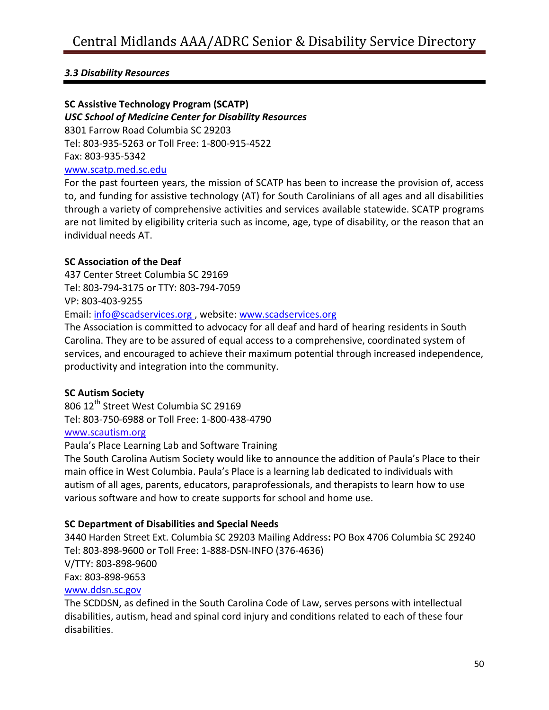## **SC Assistive Technology Program (SCATP)**

*USC School of Medicine Center for Disability Resources*

8301 Farrow Road Columbia SC 29203

Tel: 803-935-5263 or Toll Free: 1-800-915-4522

Fax: 803-935-5342

## [www.scatp.med.sc.edu](http://www.scatp.med.sc.edu/)

For the past fourteen years, the mission of SCATP has been to increase the provision of, access to, and funding for assistive technology (AT) for South Carolinians of all ages and all disabilities through a variety of comprehensive activities and services available statewide. SCATP programs are not limited by eligibility criteria such as income, age, type of disability, or the reason that an individual needs AT.

## **SC Association of the Deaf**

437 Center Street Columbia SC 29169 Tel: 803-794-3175 or TTY: 803-794-7059 VP: 803-403-9255 Email: [info@scadservices.org](mailto:info@scadservices.org) , website: [www.scadservices.org](http://www.scadservices.org/)

The Association is committed to advocacy for all deaf and hard of hearing residents in South Carolina. They are to be assured of equal access to a comprehensive, coordinated system of services, and encouraged to achieve their maximum potential through increased independence, productivity and integration into the community.

## **SC Autism Society**

806 12<sup>th</sup> Street West Columbia SC 29169 Tel: 803-750-6988 or Toll Free: 1-800-438-4790 [www.scautism.org](http://www.scautism.org/)

Paula's Place Learning Lab and Software Training

The South Carolina Autism Society would like to announce the addition of Paula's Place to their main office in West Columbia. Paula's Place is a learning lab dedicated to individuals with autism of all ages, parents, educators, paraprofessionals, and therapists to learn how to use various software and how to create supports for school and home use.

## **SC Department of Disabilities and Special Needs**

3440 Harden Street Ext. Columbia SC 29203 Mailing Address**:** PO Box 4706 Columbia SC 29240 Tel: 803-898-9600 or Toll Free: 1-888-DSN-INFO (376-4636) V/TTY: 803-898-9600 Fax: 803-898-9653 [www.ddsn.sc.gov](http://www.ddsn.sc.gov/)

The SCDDSN, as defined in the South Carolina Code of Law, serves persons with intellectual disabilities, autism, head and spinal cord injury and conditions related to each of these four disabilities.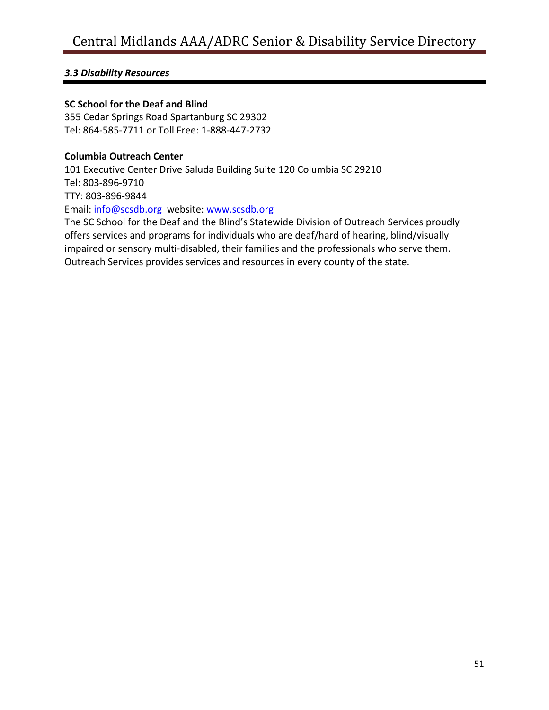## **SC School for the Deaf and Blind**

355 Cedar Springs Road Spartanburg SC 29302 Tel: 864-585-7711 or Toll Free: 1-888-447-2732

## **Columbia Outreach Center**

101 Executive Center Drive Saluda Building Suite 120 Columbia SC 29210 Tel: 803-896-9710 TTY: 803-896-9844 Email: [info@scsdb.org](mailto:info@scsdb.org) website: [www.scsdb.org](http://www.scsdb.org/) The SC School for the Deaf and the Blind's Statewide Division of Outreach Services proudly offers services and programs for individuals who are deaf/hard of hearing, blind/visually impaired or sensory multi-disabled, their families and the professionals who serve them. Outreach Services provides services and resources in every county of the state.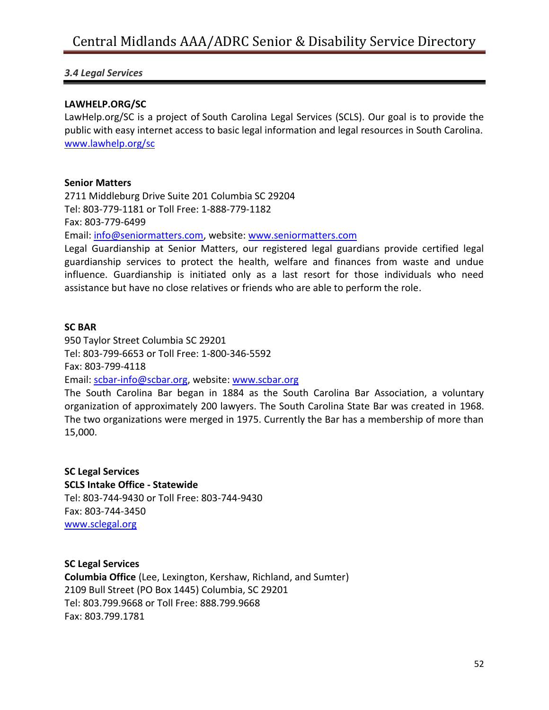## *3.4 Legal Services*

#### **LAWHELP.ORG/SC**

LawHelp.org/SC is a project of South Carolina Legal Services (SCLS). Our goal is to provide the public with easy internet access to basic legal information and legal resources in South Carolina. [www.lawhelp.org/sc](http://www.lawhelp.org/sc)

#### **Senior Matters**

2711 Middleburg Drive Suite 201 Columbia SC 29204 Tel: 803-779-1181 or Toll Free: 1-888-779-1182 Fax: 803-779-6499 Email: [info@seniormatters.com,](mailto:info@seniormatters.com) website: [www.seniormatters.com](http://www.seniormatters.com/)

Legal Guardianship at Senior Matters, our registered legal guardians provide certified legal guardianship services to protect the health, welfare and finances from waste and undue influence. Guardianship is initiated only as a last resort for those individuals who need assistance but have no close relatives or friends who are able to perform the role.

#### **SC BAR**

950 Taylor Street Columbia SC 29201 Tel: 803-799-6653 or Toll Free: 1-800-346-5592 Fax: 803-799-4118

Email: [scbar-info@scbar.org,](mailto:scbar-info@scbar.org) website: [www.scbar.org](http://www.scbar.org/)

The South Carolina Bar began in 1884 as the South Carolina Bar Association, a voluntary organization of approximately 200 lawyers. The South Carolina State Bar was created in 1968. The two organizations were merged in 1975. Currently the Bar has a membership of more than 15,000.

## **SC Legal Services SCLS Intake Office - Statewide** Tel: 803-744-9430 or Toll Free: 803-744-9430 Fax: 803-744-3450 [www.sclegal.org](http://www.sclegal.org/)

**SC Legal Services Columbia Office** (Lee, Lexington, Kershaw, Richland, and Sumter) 2109 Bull Street (PO Box 1445) Columbia, SC 29201 Tel: 803.799.9668 or Toll Free: 888.799.9668 Fax: 803.799.1781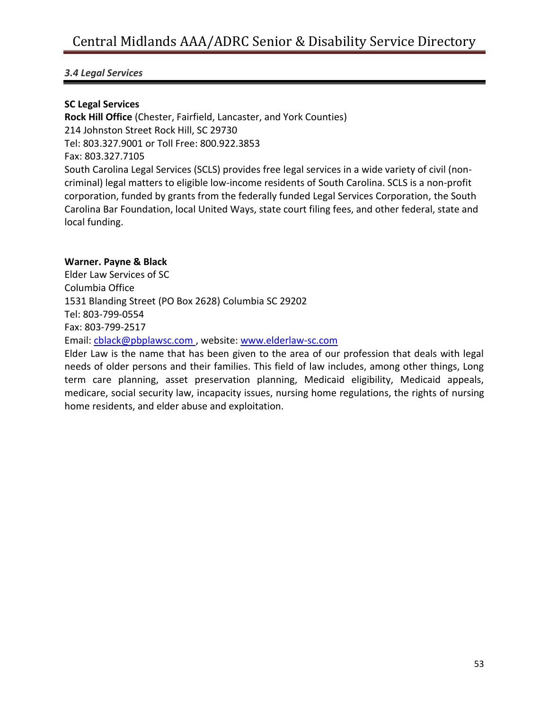## *3.4 Legal Services*

## **SC Legal Services**

**Rock Hill Office** (Chester, Fairfield, Lancaster, and York Counties) 214 Johnston Street Rock Hill, SC 29730 Tel: 803.327.9001 or Toll Free: 800.922.3853 Fax: 803.327.7105 South Carolina Legal Services (SCLS) provides free legal services in a wide variety of civil (noncriminal) legal matters to eligible low-income residents of South Carolina. SCLS is a non-profit corporation, funded by grants from the federally funded Legal Services Corporation, the South Carolina Bar Foundation, local United Ways, state court filing fees, and other federal, state and local funding.

## **Warner. Payne & Black**

Elder Law Services of SC Columbia Office 1531 Blanding Street (PO Box 2628) Columbia SC 29202 Tel: 803-799-0554 Fax: 803-799-2517 Email: [cblack@pbplawsc.com](mailto:cblack@pbplawsc.com) , website: [www.elderlaw-sc.com](http://www.elderlaw-sc.com/)

Elder Law is the name that has been given to the area of our profession that deals with legal needs of older persons and their families. This field of law includes, among other things, Long term care planning, asset preservation planning, Medicaid eligibility, Medicaid appeals, medicare, social security law, incapacity issues, nursing home regulations, the rights of nursing home residents, and elder abuse and exploitation.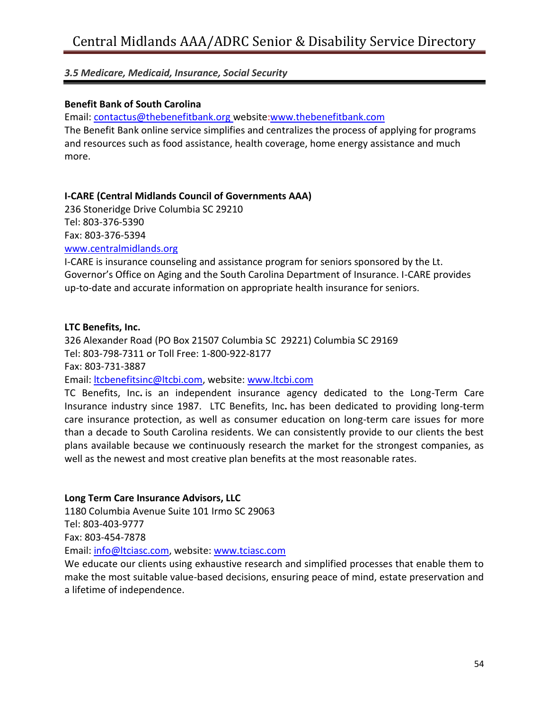#### **Benefit Bank of South Carolina**

Email: [contactus@thebenefitbank.org](mailto:contactus@thebenefitbank.org) website[:www.thebenefitbank.com](http://www.thebenefitbank.com/)

The Benefit Bank online service simplifies and centralizes the process of applying for programs and resources such as food assistance, health coverage, home energy assistance and much more.

#### **I-CARE (Central Midlands Council of Governments AAA)**

236 Stoneridge Drive Columbia SC 29210 Tel: 803-376-5390 Fax: 803-376-5394 [www.centralmidlands.org](http://www.centralmidlands.org/)

I-CARE is insurance counseling and assistance program for seniors sponsored by the Lt. Governor's Office on Aging and the South Carolina Department of Insurance. I-CARE provides up-to-date and accurate information on appropriate health insurance for seniors.

#### **LTC Benefits, Inc.**

326 Alexander Road (PO Box 21507 Columbia SC 29221) Columbia SC 29169 Tel: 803-798-7311 or Toll Free: 1-800-922-8177 Fax: 803-731-3887 Email: [ltcbenefitsinc@ltcbi.com,](mailto:ltcbenefitsinc@ltcbi.com) website: [www.ltcbi.com](http://www.ltcbi.com/)

TC Benefits, Inc**.** is an independent insurance agency dedicated to the Long-Term Care Insurance industry since 1987. LTC Benefits, Inc**.** has been dedicated to providing long-term care insurance protection, as well as consumer education on long-term care issues for more than a decade to South Carolina residents. We can consistently provide to our clients the best plans available because we continuously research the market for the strongest companies, as well as the newest and most creative plan benefits at the most reasonable rates.

## **Long Term Care Insurance Advisors, LLC**

1180 Columbia Avenue Suite 101 Irmo SC 29063 Tel: 803-403-9777 Fax: 803-454-7878 Email: [info@ltciasc.com,](mailto:info@ltciasc.com) website: [www.tciasc.com](http://www.tciasc.com/)

We educate our clients using exhaustive research and simplified processes that enable them to make the most suitable value-based decisions, ensuring peace of mind, estate preservation and a lifetime of independence.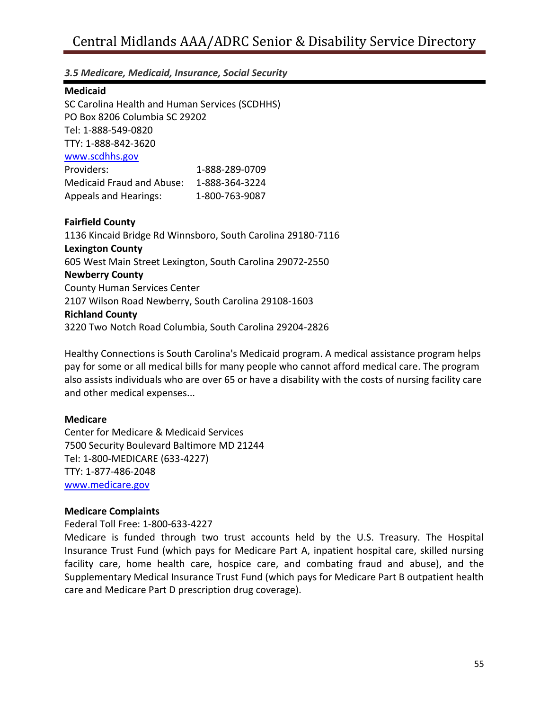#### **Medicaid**

SC Carolina Health and Human Services (SCDHHS) PO Box 8206 Columbia SC 29202 Tel: 1-888-549-0820 TTY: 1-888-842-3620 [www.scdhhs.gov](http://www.scdhhs.gov/) Providers: 1-888-289-0709 Medicaid Fraud and Abuse: 1-888-364-3224 Appeals and Hearings: 1-800-763-9087

#### **Fairfield County**

1136 Kincaid Bridge Rd Winnsboro, South Carolina 29180-7116 **Lexington County** 605 West Main Street Lexington, South Carolina 29072-2550 **Newberry County** County Human Services Center 2107 Wilson Road Newberry, South Carolina 29108-1603 **Richland County** 3220 Two Notch Road Columbia, South Carolina 29204-2826

Healthy Connections is South Carolina's Medicaid program. A medical assistance program helps pay for some or all medical bills for many people who cannot afford medical care. The program also assists individuals who are over 65 or have a disability with the costs of nursing facility care and other medical expenses...

## **Medicare**

Center for Medicare & Medicaid Services 7500 Security Boulevard Baltimore MD 21244 Tel: 1-800-MEDICARE (633-4227) TTY: 1-877-486-2048 [www.medicare.gov](http://www.medicare.gov/)

#### **Medicare Complaints**

Federal Toll Free: 1-800-633-4227

Medicare is funded through two trust accounts held by the U.S. Treasury. The Hospital Insurance Trust Fund (which pays for Medicare Part A, inpatient hospital care, skilled nursing facility care, home health care, hospice care, and combating fraud and abuse), and the Supplementary Medical Insurance Trust Fund (which pays for Medicare Part B outpatient health care and Medicare Part D prescription drug coverage).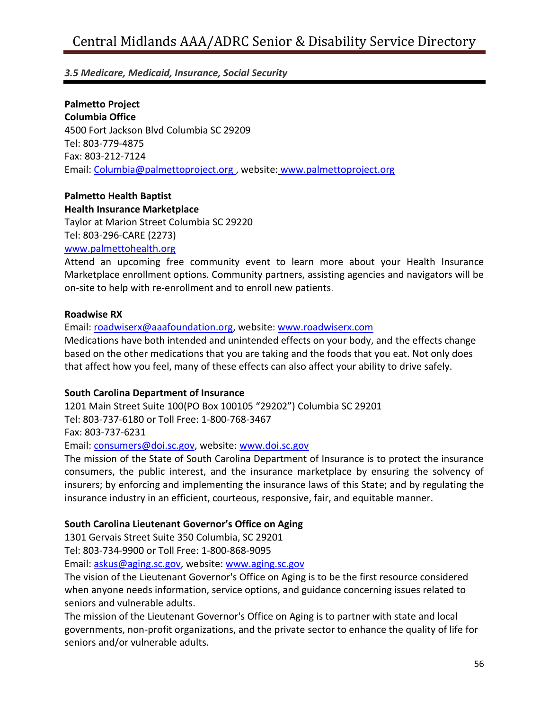**Palmetto Project Columbia Office** 4500 Fort Jackson Blvd Columbia SC 29209 Tel: 803-779-4875 Fax: 803-212-7124 Email: [Columbia@palmettoproject.org](mailto:Columbia@palmettoproject.org) , website: [www.palmettoproject.org](http://www.palmettoproject.org/)

## **Palmetto Health Baptist Health Insurance Marketplace**

Taylor at Marion Street Columbia SC 29220 Tel: 803-296-CARE (2273)

[www.palmettohealth.org](http://www.palmettohealth.org/)

Attend an upcoming free community event to learn more about your Health Insurance Marketplace enrollment options. Community partners, assisting agencies and navigators will be on-site to help with re-enrollment and to enroll new patients.

#### **Roadwise RX**

Email: [roadwiserx@aaafoundation.org,](mailto:roadwiserx@aaafoundation.org) website: [www.roadwiserx.com](http://www.roadwiserx.com/)

Medications have both intended and unintended effects on your body, and the effects change based on the other medications that you are taking and the foods that you eat. Not only does that affect how you feel, many of these effects can also affect your ability to drive safely.

#### **South Carolina Department of Insurance**

1201 Main Street Suite 100(PO Box 100105 "29202") Columbia SC 29201 Tel: 803-737-6180 or Toll Free: 1-800-768-3467 Fax: 803-737-6231 Email: [consumers@doi.sc.gov,](mailto:consumers@doi.sc.gov) website: [www.doi.sc.gov](http://www.doi.sc.gov/)

The mission of the State of South Carolina Department of Insurance is to protect the insurance consumers, the public interest, and the insurance marketplace by ensuring the solvency of insurers; by enforcing and implementing the insurance laws of this State; and by regulating the insurance industry in an efficient, courteous, responsive, fair, and equitable manner.

## **South Carolina Lieutenant Governor's Office on Aging**

1301 Gervais Street Suite 350 Columbia, SC 29201

Tel: 803-734-9900 or Toll Free: 1-800-868-9095

Email: [askus@aging.sc.gov,](mailto:askus@aging.sc.gov) website: [www.aging.sc.gov](http://www.aging.sc.gov/)

The vision of the Lieutenant Governor's Office on Aging is to be the first resource considered when anyone needs information, service options, and guidance concerning issues related to seniors and vulnerable adults.

The mission of the Lieutenant Governor's Office on Aging is to partner with state and local governments, non-profit organizations, and the private sector to enhance the quality of life for seniors and/or vulnerable adults.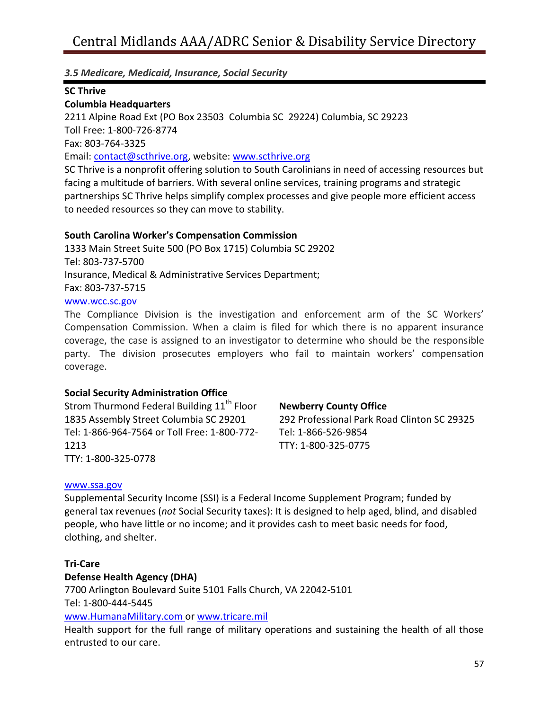## **SC Thrive**

## **Columbia Headquarters**

2211 Alpine Road Ext (PO Box 23503 Columbia SC 29224) Columbia, SC 29223 Toll Free: 1-800-726-8774 Fax: 803-764-3325 Email: [contact@scthrive.org,](mailto:contact@scthrive.org) website: [www.scthrive.org](http://www.scthrive.org/) SC Thrive is a nonprofit offering solution to South Carolinians in need of accessing resources but

facing a multitude of barriers. With several online services, training programs and strategic partnerships SC Thrive helps simplify complex processes and give people more efficient access to needed resources so they can move to stability.

## **South Carolina Worker's Compensation Commission**

1333 Main Street Suite 500 (PO Box 1715) Columbia SC 29202 Tel: 803-737-5700 Insurance, Medical & Administrative Services Department; Fax: 803-737-5715 [www.wcc.sc.gov](http://www.wcc.sc.gov/)

The Compliance Division is the investigation and enforcement arm of the SC Workers' Compensation Commission. When a claim is filed for which there is no apparent insurance coverage, the case is assigned to an investigator to determine who should be the responsible party. The division prosecutes employers who fail to maintain workers' compensation coverage.

## **Social Security Administration Office**

Strom Thurmond Federal Building 11<sup>th</sup> Floor 1835 Assembly Street Columbia SC 29201 Tel: 1-866-964-7564 or Toll Free: 1-800-772- 1213 TTY: 1-800-325-0778

#### **Newberry County Office**

292 Professional Park Road Clinton SC 29325 Tel: 1-866-526-9854 TTY: 1-800-325-0775

#### [www.ssa.gov](http://www.ssa.gov/)

Supplemental Security Income (SSI) is a Federal Income Supplement Program; funded by general tax revenues (*not* Social Security taxes): It is designed to help aged, blind, and disabled people, who have little or no income; and it provides cash to meet basic needs for food, clothing, and shelter.

## **Tri-Care**

## **Defense Health Agency (DHA)**

7700 Arlington Boulevard Suite 5101 Falls Church, VA 22042-5101 Tel: 1-800-444-5445 [www.HumanaMilitary.com](http://www.humanamilitary.com/) or [www.tricare.mil](http://www.tricare.mil/)

Health support for the full range of military operations and sustaining the health of all those entrusted to our care.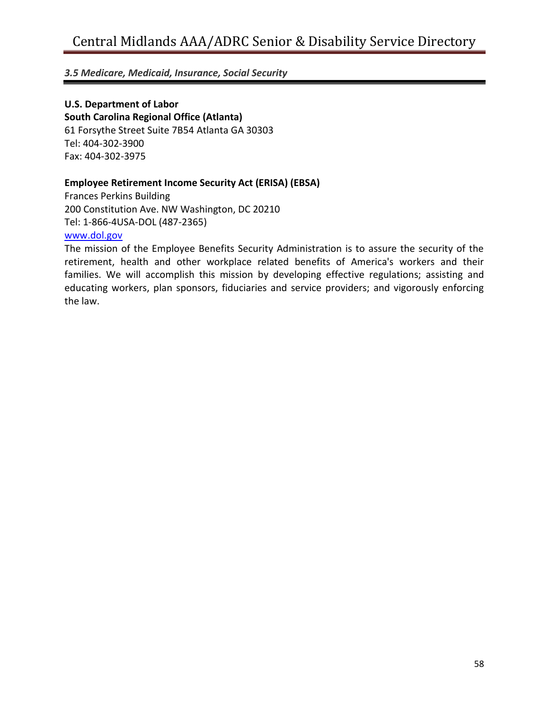## **U.S. Department of Labor**

**South Carolina Regional Office (Atlanta)** 61 Forsythe Street Suite 7B54 Atlanta GA 30303 Tel: 404-302-3900 Fax: 404-302-3975

## **Employee Retirement Income Security Act (ERISA) (EBSA)**

Frances Perkins Building 200 Constitution Ave. NW Washington, DC 20210 Tel: 1-866-4USA-DOL (487-2365) [www.dol.gov](http://www.dol.gov/)

The mission of the Employee Benefits Security Administration is to assure the security of the retirement, health and other workplace related benefits of America's workers and their families. We will accomplish this mission by developing effective regulations; assisting and educating workers, plan sponsors, fiduciaries and service providers; and vigorously enforcing the law.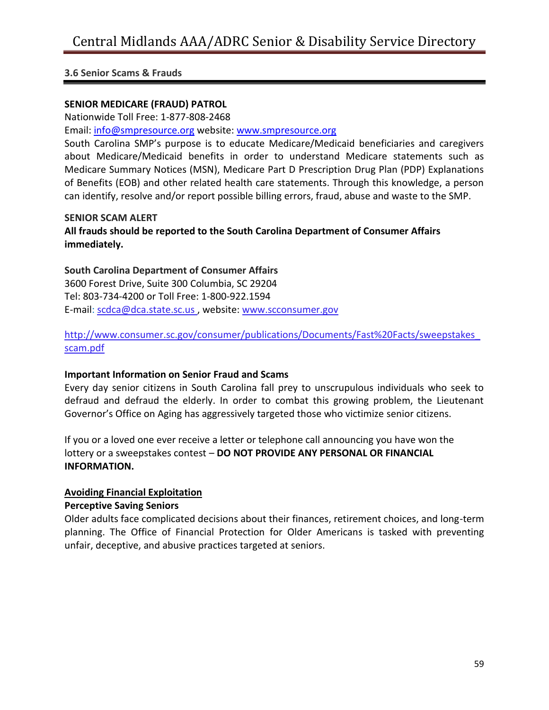#### **SENIOR MEDICARE (FRAUD) PATROL**

Nationwide Toll Free: 1-877-808-2468

Email: [info@smpresource.org](mailto:info@smpresource.org) website: [www.smpresource.org](http://www.smpresource.org/)

South Carolina SMP's purpose is to educate Medicare/Medicaid beneficiaries and caregivers about Medicare/Medicaid benefits in order to understand Medicare statements such as Medicare Summary Notices (MSN), Medicare Part D Prescription Drug Plan (PDP) Explanations of Benefits (EOB) and other related health care statements. Through this knowledge, a person can identify, resolve and/or report possible billing errors, fraud, abuse and waste to the SMP.

#### **SENIOR SCAM ALERT**

## **All frauds should be reported to the South Carolina Department of Consumer Affairs immediately.**

#### **South Carolina Department of Consumer Affairs**

3600 Forest Drive, Suite 300 Columbia, SC 29204 Tel: 803-734-4200 or Toll Free: 1-800-922.1594 E-mail: [scdca@dca.state.sc.us](mailto:scdca@dca.state.sc.us) , website: [www.scconsumer.gov](http://www.scconsumer.gov/)

## [http://www.consumer.sc.gov/consumer/publications/Documents/Fast%20Facts/sweepstakes\\_](http://www.consumer.sc.gov/consumer/publications/Documents/Fast%20Facts/sweepstakes_scam.pdf) [scam.pdf](http://www.consumer.sc.gov/consumer/publications/Documents/Fast%20Facts/sweepstakes_scam.pdf)

## **Important Information on Senior Fraud and Scams**

Every day senior citizens in South Carolina fall prey to unscrupulous individuals who seek to defraud and defraud the elderly. In order to combat this growing problem, the Lieutenant Governor's Office on Aging has aggressively targeted those who victimize senior citizens.

If you or a loved one ever receive a letter or telephone call announcing you have won the lottery or a sweepstakes contest – **DO NOT PROVIDE ANY PERSONAL OR FINANCIAL INFORMATION.**

## **[Avoiding Financial Exploitation](http://aging.sc.gov/SiteCollectionDocuments/F/Financial%20Exploitiation%20Brochure%20070811pdf.pdf)**

## **Perceptive Saving Seniors**

Older adults face complicated decisions about their finances, retirement choices, and long-term planning. The Office of Financial Protection for Older Americans is tasked with preventing unfair, deceptive, and abusive practices targeted at seniors.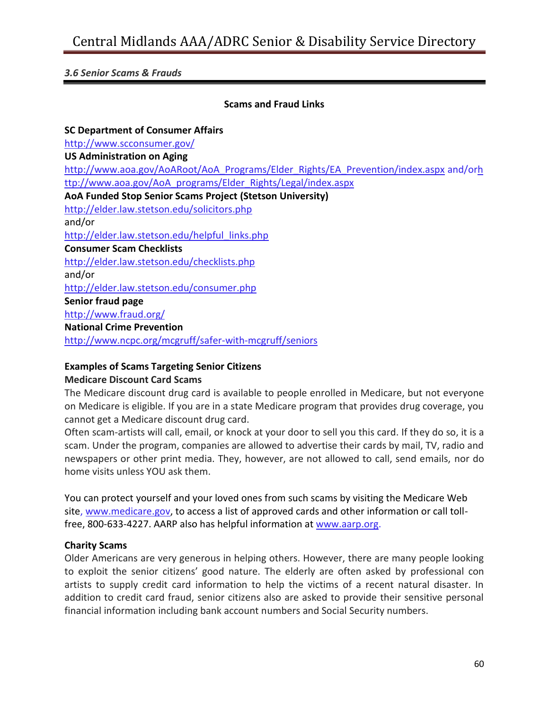## **Scams and Fraud Links**

**SC Department of Consumer Affairs** <http://www.scconsumer.gov/> **US Administration on Aging** [http://www.aoa.gov/AoARoot/AoA\\_Programs/Elder\\_Rights/EA\\_Prevention/index.aspx](http://www.aoa.gov/AoARoot/AoA_Programs/Elder_Rights/EA_Prevention/index.aspx) and/o[rh](http://www.aoa.gov/AoA_programs/Elder_Rights/Legal/index.aspx) [ttp://www.aoa.gov/AoA\\_programs/Elder\\_Rights/Legal/index.aspx](http://www.aoa.gov/AoA_programs/Elder_Rights/Legal/index.aspx) **AoA Funded Stop Senior Scams Project (Stetson University)**  <http://elder.law.stetson.edu/solicitors.php> and/or [http://elder.law.stetson.edu/helpful\\_links.php](http://elder.law.stetson.edu/helpful_links.php) **Consumer Scam Checklists** <http://elder.law.stetson.edu/checklists.php> and/or <http://elder.law.stetson.edu/consumer.php> **Senior fraud page** <http://www.fraud.org/> **National Crime Prevention** <http://www.ncpc.org/mcgruff/safer-with-mcgruff/seniors>

## **Examples of Scams Targeting Senior Citizens**

#### **Medicare Discount Card Scams**

The Medicare discount drug card is available to people enrolled in Medicare, but not everyone on Medicare is eligible. If you are in a state Medicare program that provides drug coverage, you cannot get a Medicare discount drug card.

Often scam-artists will call, email, or knock at your door to sell you this card. If they do so, it is a scam. Under the program, companies are allowed to advertise their cards by mail, TV, radio and newspapers or other print media. They, however, are not allowed to call, send emails, nor do home visits unless YOU ask them.

You can protect yourself and your loved ones from such scams by visiting the Medicare Web site, [www.medicare.gov,](http://www.medicare.gov/) to access a list of approved cards and other information or call tollfree, 800-633-4227. AARP also has helpful information at [www.aarp.org.](http://www.aarp.org/)

## **Charity Scams**

Older Americans are very generous in helping others. However, there are many people looking to exploit the senior citizens' good nature. The elderly are often asked by professional con artists to supply credit card information to help the victims of a recent natural disaster. In addition to credit card fraud, senior citizens also are asked to provide their sensitive personal financial information including bank account numbers and Social Security numbers.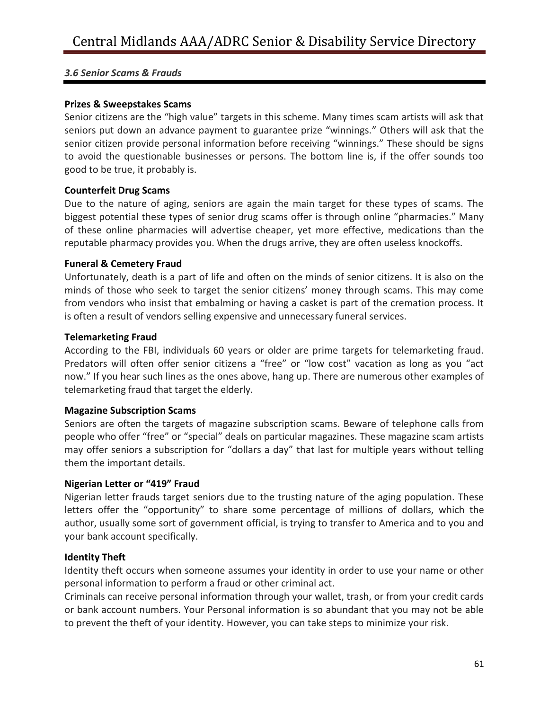#### **Prizes & Sweepstakes Scams**

Senior citizens are the "high value" targets in this scheme. Many times scam artists will ask that seniors put down an advance payment to guarantee prize "winnings." Others will ask that the senior citizen provide personal information before receiving "winnings." These should be signs to avoid the questionable businesses or persons. The bottom line is, if the offer sounds too good to be true, it probably is.

#### **Counterfeit Drug Scams**

Due to the nature of aging, seniors are again the main target for these types of scams. The biggest potential these types of senior drug scams offer is through online "pharmacies." Many of these online pharmacies will advertise cheaper, yet more effective, medications than the reputable pharmacy provides you. When the drugs arrive, they are often useless knockoffs.

#### **Funeral & Cemetery Fraud**

Unfortunately, death is a part of life and often on the minds of senior citizens. It is also on the minds of those who seek to target the senior citizens' money through scams. This may come from vendors who insist that embalming or having a casket is part of the cremation process. It is often a result of vendors selling expensive and unnecessary funeral services.

#### **Telemarketing Fraud**

According to the FBI, individuals 60 years or older are prime targets for telemarketing fraud. Predators will often offer senior citizens a "free" or "low cost" vacation as long as you "act now." If you hear such lines as the ones above, hang up. There are numerous other examples of telemarketing fraud that target the elderly.

#### **Magazine Subscription Scams**

Seniors are often the targets of magazine subscription scams. Beware of telephone calls from people who offer "free" or "special" deals on particular magazines. These magazine scam artists may offer seniors a subscription for "dollars a day" that last for multiple years without telling them the important details.

#### **Nigerian Letter or "419" Fraud**

Nigerian letter frauds target seniors due to the trusting nature of the aging population. These letters offer the "opportunity" to share some percentage of millions of dollars, which the author, usually some sort of government official, is trying to transfer to America and to you and your bank account specifically.

## **Identity Theft**

Identity theft occurs when someone assumes your identity in order to use your name or other personal information to perform a fraud or other criminal act.

Criminals can receive personal information through your wallet, trash, or from your credit cards or bank account numbers. Your Personal information is so abundant that you may not be able to prevent the theft of your identity. However, you can take steps to minimize your risk.